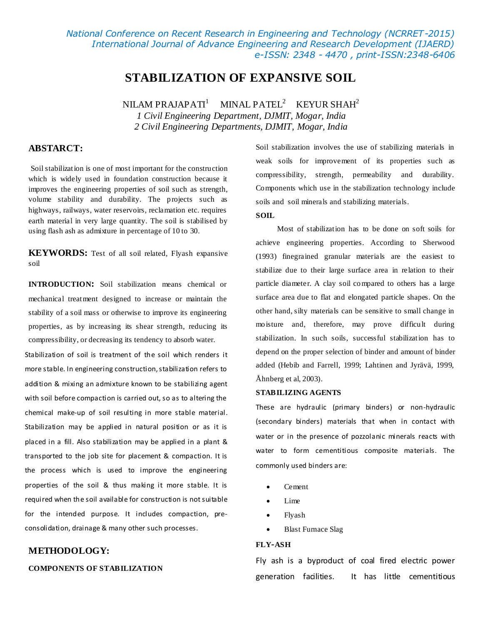*National Conference on Recent Research in Engineering and Technology (NCRRET-2015) International Journal of Advance Engineering and Research Development (IJAERD) e-ISSN: 2348 - 4470 , print-ISSN:2348-6406*

## **STABILIZATION OF EXPANSIVE SOIL**

NILAM PRAJAPATI $^1$ MINAL PATEL<sup>2</sup> KEYUR SHAH<sup>2</sup> *1 Civil Engineering Department, DJMIT, Mogar, India 2 Civil Engineering Departments, DJMIT, Mogar, India*

## **ABSTARCT:**

Soil stabilization is one of most important for the construction which is widely used in foundation construction because it improves the engineering properties of soil such as strength, volume stability and durability. The projects such as highways, railways, water reservoirs, reclamation etc. requires earth material in very large quantity. The soil is stabilised by using flash ash as admixture in percentage of 10 to 30.

**KEYWORDS:** Test of all soil related, Flyash expansive soil

**INTRODUCTION:** Soil stabilization means chemical or mechanical treatment designed to increase or maintain the stability of a soil mass or otherwise to improve its engineering properties, as by increasing its shear strength, reducing its compressibility, or decreasing its tendency to absorb water.

Stabilization of soil is treatment of the soil which renders it more stable. In engineering construction, stabilization refers to addition & mixing an admixture known to be stabilizing agent with soil before compaction is carried out, so as to altering the chemical make-up of soil resulting in more stable material. Stabilization may be applied in natural position or as it is placed in a fill. Also stabilization may be applied in a plant & transported to the job site for placement & compaction. It is the process which is used to improve the engineering properties of the soil & thus making it more stable. It is required when the soil available for construction is not suitable for the intended purpose. It includes compaction, preconsolidation, drainage & many other such processes.

# **METHODOLOGY: COMPONENTS OF STABILIZATION**

Soil stabilization involves the use of stabilizing materials in weak soils for improvement of its properties such as compressibility, strength, permeability and durability. Components which use in the stabilization technology include soils and soil minerals and stabilizing materials.

#### **SOIL**

Most of stabilization has to be done on soft soils for achieve engineering properties. According to Sherwood (1993) finegrained granular materials are the easiest to stabilize due to their large surface area in relation to their particle diameter. A clay soil compared to others has a large surface area due to flat and elongated particle shapes. On the other hand, silty materials can be sensitive to small change in moisture and, therefore, may prove difficult during stabilization. In such soils, successful stabilization has to depend on the proper selection of binder and amount of binder added (Hebib and Farrell, 1999; Lahtinen and Jyrävä, 1999, Åhnberg et al, 2003).

#### **STABILIZING AGENTS**

These are hydraulic (primary binders) or non-hydraulic (secondary binders) materials that when in contact with water or in the presence of pozzolanic minerals reacts with water to form cementitious composite materials. The commonly used binders are:

- Cement
- $\bullet$  Lime
- Flyash
- Blast Furnace Slag

#### **FLY-ASH**

Fly ash is a byproduct of coal fired electric power generation facilities. It has little cementitious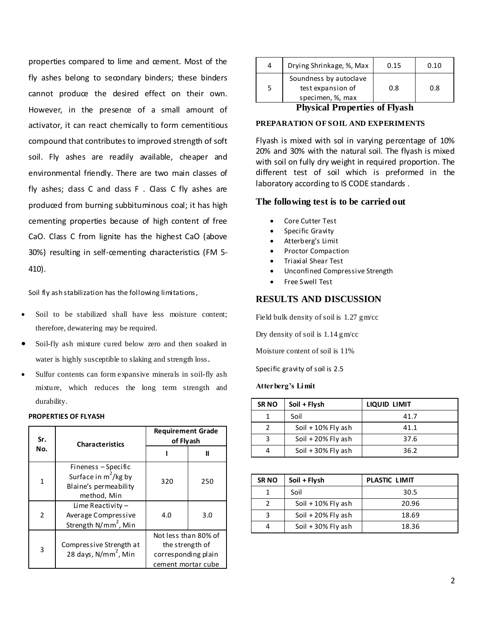properties compared to lime and cement. Most of the fly ashes belong to secondary binders; these binders cannot produce the desired effect on their own. However, in the presence of a small amount of activator, it can react chemically to form cementitious compound that contributes to improved strength of soft soil. Fly ashes are readily available, cheaper and environmental friendly. There are two main classes of fly ashes; dass  $C$  and dass  $F$ . Class  $C$  fly ashes are produced from burning subbituminous coal; it has high cementing properties because of high content of free CaO. Class C from lignite has the highest CaO (above 30%) resulting in self-cementing characteristics (FM 5- 410).

Soil fly ash stabilization has the following limitations,

- Soil to be stabilized shall have less moisture content: therefore, dewatering may be required.
- Soil-fly ash mixture cured below zero and then soaked in water is highly susceptible to slaking and strength loss.
- Sulfur contents can form expansive minerals in soil-fly ash mixture, which reduces the long term strength and durability.

## **PROPERTIES OF FLYASH**

| Sr.            | <b>Characteristics</b>                                                                 | <b>Requirement Grade</b><br>of Flyash                                                |     |
|----------------|----------------------------------------------------------------------------------------|--------------------------------------------------------------------------------------|-----|
| No.            |                                                                                        |                                                                                      | Ш   |
| 1              | Fineness - Specific<br>Surface in $m^2$ /kg by<br>Blaine's permeability<br>method, Min | 320                                                                                  | 250 |
| $\overline{2}$ | Lime Reactivity $-$<br>Average Compressive<br>Strength N/mm <sup>2</sup> , Min         | 4.0                                                                                  | 3.0 |
| 3              | Compressive Strength at<br>28 days, N/mm <sup>2</sup> , Min                            | Not less than 80% of<br>the strength of<br>corresponding plain<br>cement mortar cube |     |

| 4 | Drying Shrinkage, %, Max                                        | 0.15 | 0.10 |  |
|---|-----------------------------------------------------------------|------|------|--|
| 5 | Soundness by autoclave<br>test expansion of<br>specimen, %, max | 0.8  | 0.8  |  |
|   |                                                                 |      |      |  |

## **Physical Properties of Flyash**

## **PREPARATION OF SOIL AND EXPERIMENTS**

Flyash is mixed with sol in varying percentage of 10% 20% and 30% with the natural soil. The flyash is mixed with soil on fully dry weight in required proportion. The different test of soil which is preformed in the laboratory according to IS CODE standards.

## **The following test is to be carried out**

- Core Cutter Test
- Specific Gravity
- Atterberg's Limit
- Proctor Compaction
- Triaxial Shear Test
- Unconfined Compressive Strength
- Free Swell Test

## **RESULTS AND DISCUSSION**

Field bulk density of soil is 1.27 gm/cc

Dry density of soil is 1.14 gm/cc

Moisture content of soil is 11%

Specific gravity of soil is 2.5

## **Atterberg's Limit**

| <b>SRNO</b> | Soil + Flysh         | LIQUID LIMIT |
|-------------|----------------------|--------------|
|             | Soil                 | 41.7         |
|             | Soil $+10\%$ Fly ash | 41.1         |
|             | Soil $+20\%$ Fly ash | 37.6         |
|             | Soil $+30\%$ Fly ash | 36.2         |

| <b>SRNO</b> | Soil + Flysh         | PLASTIC LIMIT |
|-------------|----------------------|---------------|
|             | Soil                 | 30.5          |
| 2           | Soil $+10\%$ Fly ash | 20.96         |
| 3           | Soil $+20\%$ Fly ash | 18.69         |
| 4           | Soil $+30\%$ Fly ash | 18.36         |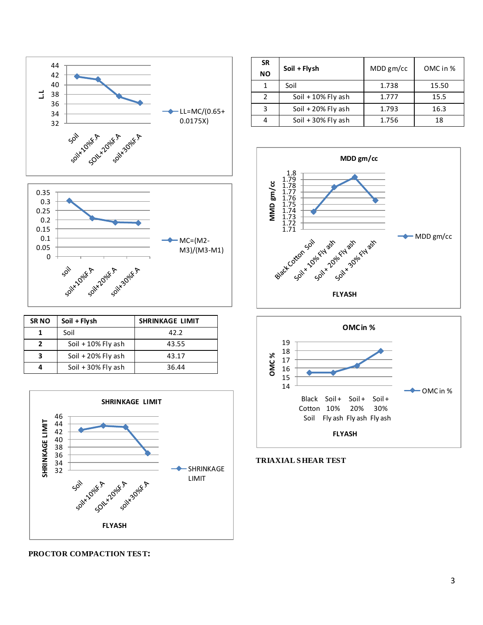

| <b>SRNO</b> | Soil + Flysh         | <b>SHRINKAGE LIMIT</b> |
|-------------|----------------------|------------------------|
|             | Soil                 | 42.2                   |
| 2           | Soil $+10\%$ Fly ash | 43.55                  |
| 3           | Soil $+20\%$ Fly ash | 43.17                  |
|             | Soil $+30\%$ Fly ash | 36.44                  |



| <b>SR</b><br><b>NO</b> | Soil + Flysh         | MDD gm/cc | OMC in % |
|------------------------|----------------------|-----------|----------|
| 1                      | Soil                 | 1.738     | 15.50    |
| $\mathcal{P}$          | Soil $+10\%$ Fly ash | 1.777     | 15.5     |
| ς                      | Soil $+20\%$ Fly ash | 1.793     | 16.3     |
|                        | Soil + 30% Fly ash   | 1.756     | 18       |
|                        |                      |           |          |





**TRIAXIAL S HEAR TEST**

## **PROCTOR COMPACTION TES T:**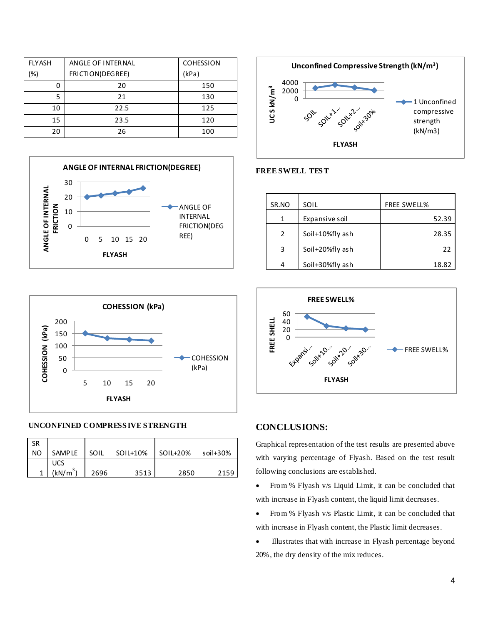| <b>FLYASH</b> | ANGLE OF INTERNAL | <b>COHESSION</b> |
|---------------|-------------------|------------------|
| (%)           | FRICTION(DEGREE)  | (kPa)            |
| 0             | 20                | 150              |
| 5             | 21                | 130              |
| 10            | 22.5              | 125              |
| 15            | 23.5              | 120              |
| 20            | 26                | 100              |





## **UNCONFINED COMPRESS IVE STRENGTH**

| <b>SR</b> |                      |      |          |          |              |
|-----------|----------------------|------|----------|----------|--------------|
| <b>NO</b> | <b>SAMPLE</b>        | SOIL | SOIL+10% | SOIL+20% | soil $+30\%$ |
|           | UCS                  |      |          |          |              |
|           | (kN/m <sup>3</sup> ) | 2696 | 3513     | 2850     | 2159         |



#### **FREE SWELL TES T**

| SR.NO         | SOIL            | <b>FREE SWELL%</b> |
|---------------|-----------------|--------------------|
| 1             | Expansive soil  | 52.39              |
| $\mathcal{P}$ | Soil+10%fly ash | 28.35              |
| 3             | Soil+20%fly ash | 22                 |
|               | Soil+30%fly ash | 18.82              |



## **CONCLUSIONS:**

Graphical representation of the test results are presented above with varying percentage of Flyash. Based on the test result following conclusions are established.

- From % Flyash v/s Liquid Limit, it can be concluded that with increase in Flyash content, the liquid limit decreases.
- From % Flyash v/s Plastic Limit, it can be concluded that with increase in Flyash content, the Plastic limit decreases.
- Illustrates that with increase in Flyash percentage beyond 20%, the dry density of the mix reduces.